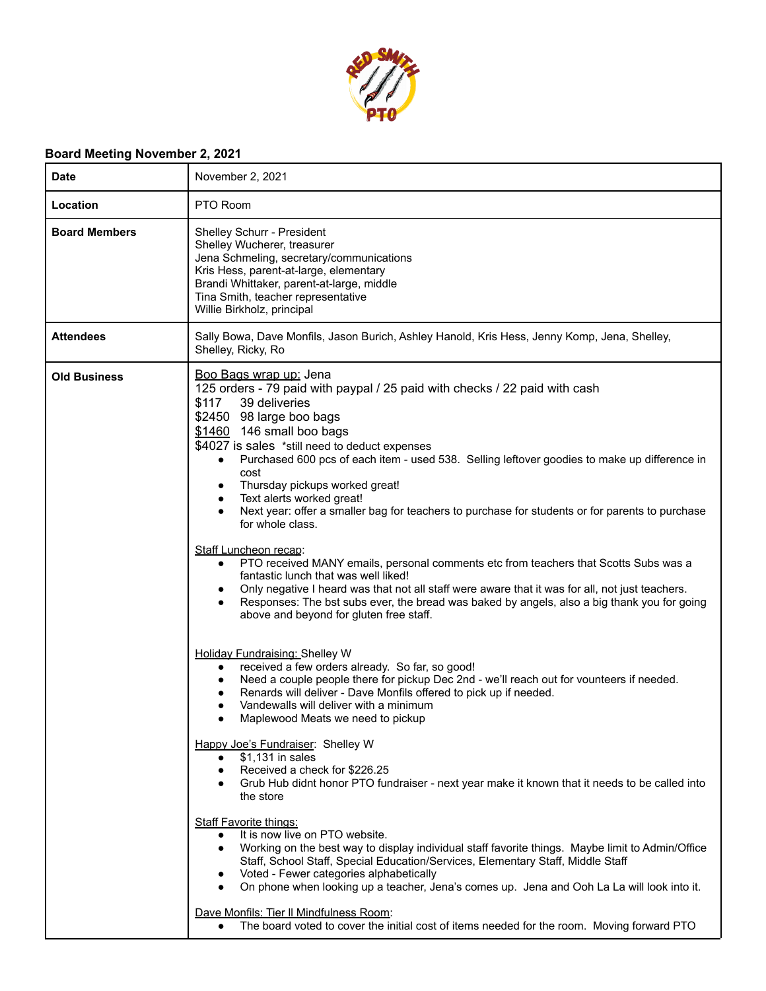

## **Board Meeting November 2, 2021**

| <b>Date</b>          | November 2, 2021                                                                                                                                                                                                                                                                                                                                                                                                                                                                                                                                                                                                                                                                                                                                                                                                                                                                                                                                                                                                                                                                                                                                                                                                                                          |
|----------------------|-----------------------------------------------------------------------------------------------------------------------------------------------------------------------------------------------------------------------------------------------------------------------------------------------------------------------------------------------------------------------------------------------------------------------------------------------------------------------------------------------------------------------------------------------------------------------------------------------------------------------------------------------------------------------------------------------------------------------------------------------------------------------------------------------------------------------------------------------------------------------------------------------------------------------------------------------------------------------------------------------------------------------------------------------------------------------------------------------------------------------------------------------------------------------------------------------------------------------------------------------------------|
| Location             | PTO Room                                                                                                                                                                                                                                                                                                                                                                                                                                                                                                                                                                                                                                                                                                                                                                                                                                                                                                                                                                                                                                                                                                                                                                                                                                                  |
| <b>Board Members</b> | Shelley Schurr - President<br>Shelley Wucherer, treasurer<br>Jena Schmeling, secretary/communications<br>Kris Hess, parent-at-large, elementary<br>Brandi Whittaker, parent-at-large, middle<br>Tina Smith, teacher representative<br>Willie Birkholz, principal                                                                                                                                                                                                                                                                                                                                                                                                                                                                                                                                                                                                                                                                                                                                                                                                                                                                                                                                                                                          |
| <b>Attendees</b>     | Sally Bowa, Dave Monfils, Jason Burich, Ashley Hanold, Kris Hess, Jenny Komp, Jena, Shelley,<br>Shelley, Ricky, Ro                                                                                                                                                                                                                                                                                                                                                                                                                                                                                                                                                                                                                                                                                                                                                                                                                                                                                                                                                                                                                                                                                                                                        |
| <b>Old Business</b>  | Boo Bags wrap up: Jena<br>125 orders - 79 paid with paypal / 25 paid with checks / 22 paid with cash<br>\$117<br>39 deliveries<br>\$2450 98 large boo bags<br>\$1460 146 small boo bags<br>\$4027 is sales *still need to deduct expenses<br>Purchased 600 pcs of each item - used 538. Selling leftover goodies to make up difference in<br>$\bullet$<br>cost<br>Thursday pickups worked great!<br>٠<br>Text alerts worked great!<br>٠<br>Next year: offer a smaller bag for teachers to purchase for students or for parents to purchase<br>$\bullet$<br>for whole class.<br>Staff Luncheon recap:<br>PTO received MANY emails, personal comments etc from teachers that Scotts Subs was a<br>$\bullet$<br>fantastic lunch that was well liked!<br>Only negative I heard was that not all staff were aware that it was for all, not just teachers.<br>$\bullet$<br>Responses: The bst subs ever, the bread was baked by angels, also a big thank you for going<br>$\bullet$<br>above and beyond for gluten free staff.                                                                                                                                                                                                                                  |
|                      | <b>Holiday Fundraising: Shelley W</b><br>received a few orders already. So far, so good!<br>$\bullet$<br>Need a couple people there for pickup Dec 2nd - we'll reach out for vounteers if needed.<br>$\bullet$<br>Renards will deliver - Dave Monfils offered to pick up if needed.<br>$\bullet$<br>Vandewalls will deliver with a minimum<br>$\bullet$<br>Maplewood Meats we need to pickup<br>Happy Joe's Fundraiser: Shelley W<br>$$1,131$ in sales<br>$\bullet$<br>Received a check for \$226.25<br>$\bullet$<br>Grub Hub didnt honor PTO fundraiser - next year make it known that it needs to be called into<br>$\bullet$<br>the store<br><b>Staff Favorite things:</b><br>It is now live on PTO website.<br>$\bullet$<br>Working on the best way to display individual staff favorite things. Maybe limit to Admin/Office<br>$\bullet$<br>Staff, School Staff, Special Education/Services, Elementary Staff, Middle Staff<br>Voted - Fewer categories alphabetically<br>$\bullet$<br>On phone when looking up a teacher, Jena's comes up. Jena and Ooh La La will look into it.<br>$\bullet$<br>Dave Monfils: Tier II Mindfulness Room:<br>The board voted to cover the initial cost of items needed for the room. Moving forward PTO<br>$\bullet$ |